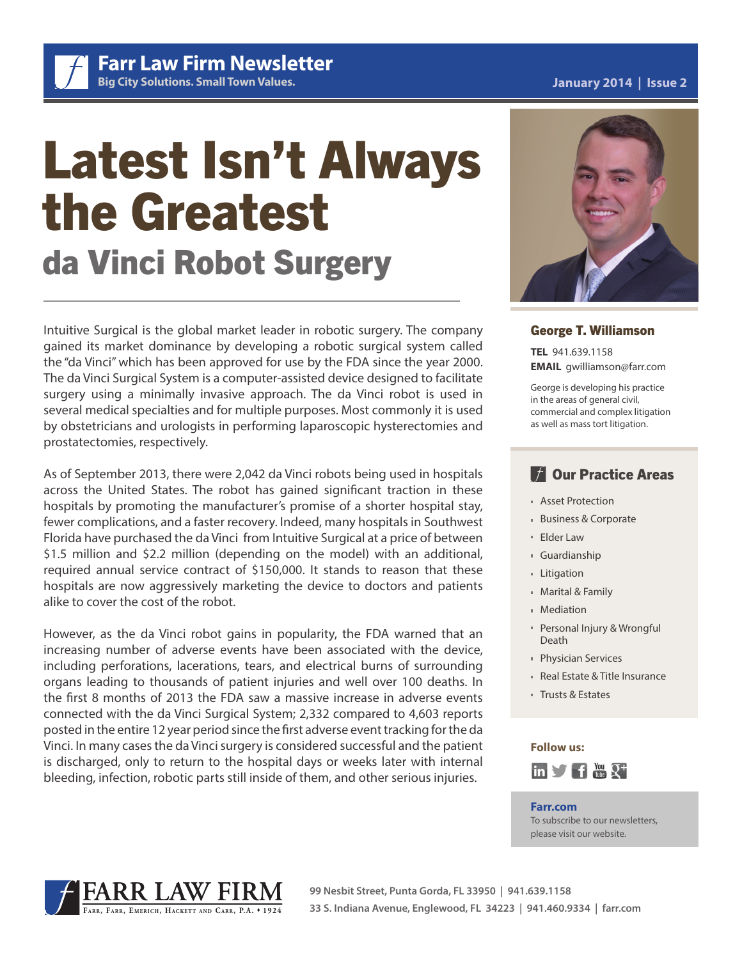Latest Isn't Always the Greatest da Vinci Robot Surgery

Intuitive Surgical is the global market leader in robotic surgery. The company gained its market dominance by developing a robotic surgical system called the "da Vinci" which has been approved for use by the FDA since the year 2000. The da Vinci Surgical System is a computer-assisted device designed to facilitate surgery using a minimally invasive approach. The da Vinci robot is used in several medical specialties and for multiple purposes. Most commonly it is used by obstetricians and urologists in performing laparoscopic hysterectomies and prostatectomies, respectively.

As of September 2013, there were 2,042 da Vinci robots being used in hospitals across the United States. The robot has gained significant traction in these hospitals by promoting the manufacturer's promise of a shorter hospital stay, fewer complications, and a faster recovery. Indeed, many hospitals in Southwest Florida have purchased the da Vinci from Intuitive Surgical at a price of between \$1.5 million and \$2.2 million (depending on the model) with an additional, required annual service contract of \$150,000. It stands to reason that these hospitals are now aggressively marketing the device to doctors and patients alike to cover the cost of the robot.

However, as the da Vinci robot gains in popularity, the FDA warned that an increasing number of adverse events have been associated with the device, including perforations, lacerations, tears, and electrical burns of surrounding organs leading to thousands of patient injuries and well over 100 deaths. In the first 8 months of 2013 the FDA saw a massive increase in adverse events connected with the da Vinci Surgical System; 2,332 compared to 4,603 reports posted in the entire 12 year period since the first adverse event tracking for the da Vinci. In many cases the da Vinci surgery is considered successful and the patient is discharged, only to return to the hospital days or weeks later with internal bleeding, infection, robotic parts still inside of them, and other serious injuries.

## George T. Williamson

**TEL** 941.639.1158 **EMAIL** gwilliamson@farr.com

George is developing his practice in the areas of general civil, commercial and complex litigation as well as mass tort litigation.

# **TE Our Practice Areas**

- Asset Protection
- Business & Corporate
- Elder Law
- Guardianship
- Litigation
- Marital & Family
- Mediation
- Personal Injury & Wrongful **Death**
- Physician Services
- Real Estate & Title Insurance
- Trusts & Estates

#### **Follow us:**



#### **Farr.com**

To subscribe to our newsletters, please visit our website.





## **January 2014 | Issue 2**